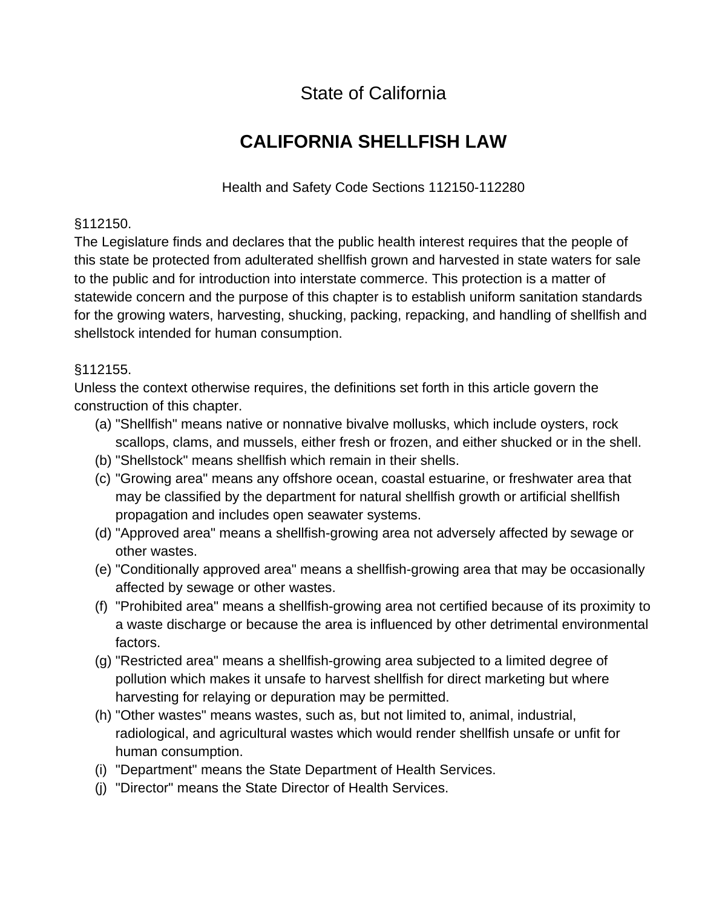State of California

# **CALIFORNIA SHELLFISH LAW**

Health and Safety Code Sections 112150-112280

#### §112150.

The Legislature finds and declares that the public health interest requires that the people of this state be protected from adulterated shellfish grown and harvested in state waters for sale to the public and for introduction into interstate commerce. This protection is a matter of statewide concern and the purpose of this chapter is to establish uniform sanitation standards for the growing waters, harvesting, shucking, packing, repacking, and handling of shellfish and shellstock intended for human consumption.

## §112155.

Unless the context otherwise requires, the definitions set forth in this article govern the construction of this chapter.

- (a) "Shellfish" means native or nonnative bivalve mollusks, which include oysters, rock scallops, clams, and mussels, either fresh or frozen, and either shucked or in the shell.
- (b) "Shellstock" means shellfish which remain in their shells.
- (c) "Growing area" means any offshore ocean, coastal estuarine, or freshwater area that may be classified by the department for natural shellfish growth or artificial shellfish propagation and includes open seawater systems.
- (d) "Approved area" means a shellfish-growing area not adversely affected by sewage or other wastes.
- (e) "Conditionally approved area" means a shellfish-growing area that may be occasionally affected by sewage or other wastes.
- (f) "Prohibited area" means a shellfish-growing area not certified because of its proximity to a waste discharge or because the area is influenced by other detrimental environmental factors.
- (g) "Restricted area" means a shellfish-growing area subjected to a limited degree of pollution which makes it unsafe to harvest shellfish for direct marketing but where harvesting for relaying or depuration may be permitted.
- (h) "Other wastes" means wastes, such as, but not limited to, animal, industrial, radiological, and agricultural wastes which would render shellfish unsafe or unfit for human consumption.
- (i) "Department" means the State Department of Health Services.
- (j) "Director" means the State Director of Health Services.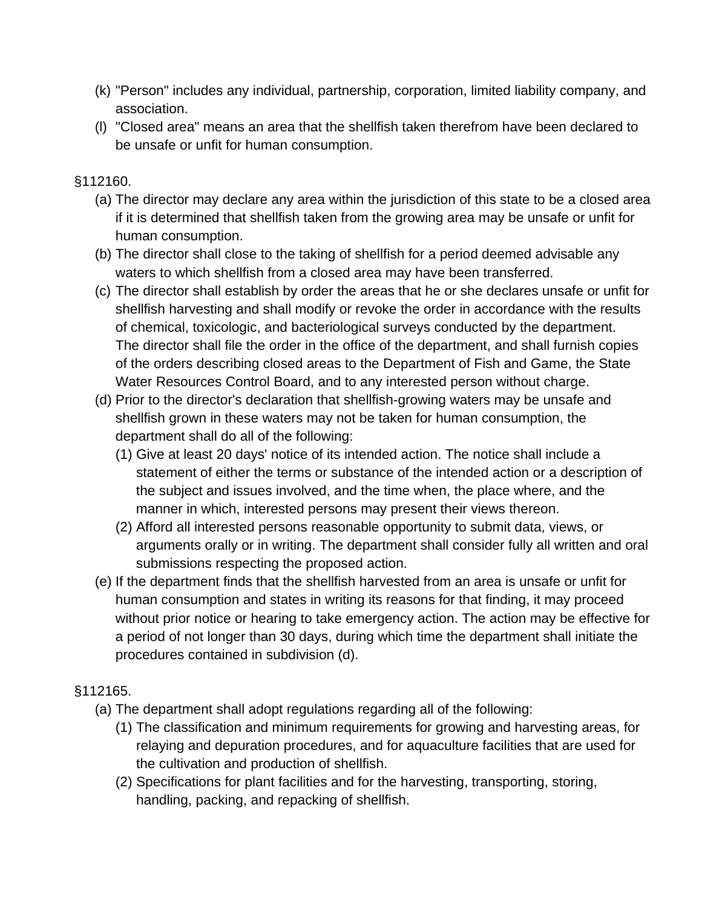- (k) "Person" includes any individual, partnership, corporation, limited liability company, and association.
- (l) "Closed area" means an area that the shellfish taken therefrom have been declared to be unsafe or unfit for human consumption.

## §112160.

- (a) The director may declare any area within the jurisdiction of this state to be a closed area if it is determined that shellfish taken from the growing area may be unsafe or unfit for human consumption.
- (b) The director shall close to the taking of shellfish for a period deemed advisable any waters to which shellfish from a closed area may have been transferred.
- (c) The director shall establish by order the areas that he or she declares unsafe or unfit for shellfish harvesting and shall modify or revoke the order in accordance with the results of chemical, toxicologic, and bacteriological surveys conducted by the department. The director shall file the order in the office of the department, and shall furnish copies of the orders describing closed areas to the Department of Fish and Game, the State Water Resources Control Board, and to any interested person without charge.
- (d) Prior to the director's declaration that shellfish-growing waters may be unsafe and shellfish grown in these waters may not be taken for human consumption, the department shall do all of the following:
	- (1) Give at least 20 days' notice of its intended action. The notice shall include a statement of either the terms or substance of the intended action or a description of the subject and issues involved, and the time when, the place where, and the manner in which, interested persons may present their views thereon.
	- (2) Afford all interested persons reasonable opportunity to submit data, views, or arguments orally or in writing. The department shall consider fully all written and oral submissions respecting the proposed action.
- (e) If the department finds that the shellfish harvested from an area is unsafe or unfit for human consumption and states in writing its reasons for that finding, it may proceed without prior notice or hearing to take emergency action. The action may be effective for a period of not longer than 30 days, during which time the department shall initiate the procedures contained in subdivision (d).

# §112165.

- (a) The department shall adopt regulations regarding all of the following:
	- (1) The classification and minimum requirements for growing and harvesting areas, for relaying and depuration procedures, and for aquaculture facilities that are used for the cultivation and production of shellfish.
	- (2) Specifications for plant facilities and for the harvesting, transporting, storing, handling, packing, and repacking of shellfish.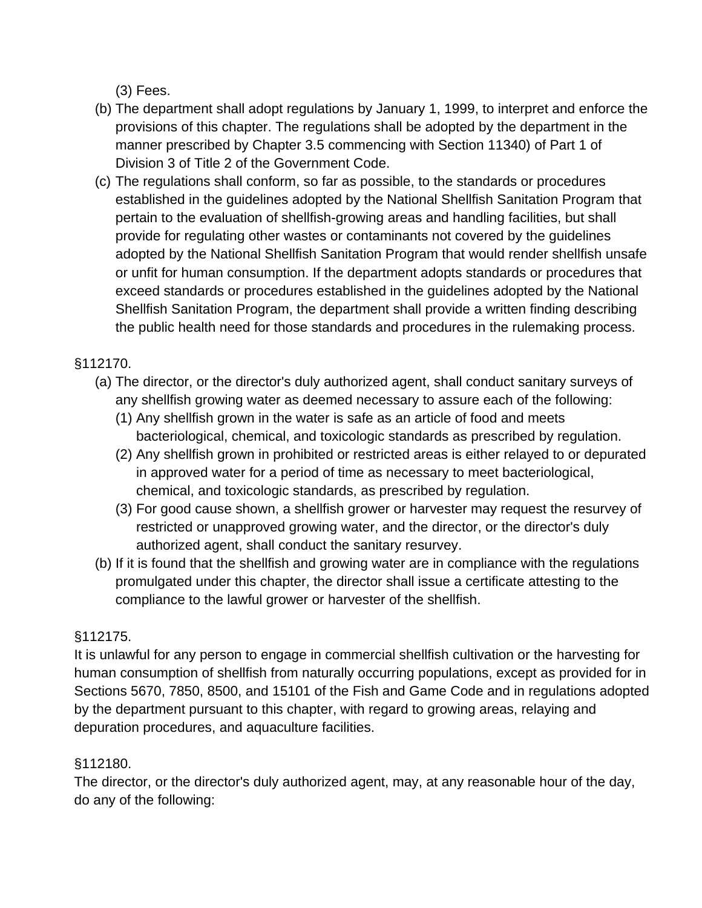(3) Fees.

- (b) The department shall adopt regulations by January 1, 1999, to interpret and enforce the provisions of this chapter. The regulations shall be adopted by the department in the manner prescribed by Chapter 3.5 commencing with Section 11340) of Part 1 of Division 3 of Title 2 of the Government Code.
- (c) The regulations shall conform, so far as possible, to the standards or procedures established in the guidelines adopted by the National Shellfish Sanitation Program that pertain to the evaluation of shellfish-growing areas and handling facilities, but shall provide for regulating other wastes or contaminants not covered by the guidelines adopted by the National Shellfish Sanitation Program that would render shellfish unsafe or unfit for human consumption. If the department adopts standards or procedures that exceed standards or procedures established in the guidelines adopted by the National Shellfish Sanitation Program, the department shall provide a written finding describing the public health need for those standards and procedures in the rulemaking process.

# §112170.

- (a) The director, or the director's duly authorized agent, shall conduct sanitary surveys of any shellfish growing water as deemed necessary to assure each of the following:
	- (1) Any shellfish grown in the water is safe as an article of food and meets bacteriological, chemical, and toxicologic standards as prescribed by regulation.
	- (2) Any shellfish grown in prohibited or restricted areas is either relayed to or depurated in approved water for a period of time as necessary to meet bacteriological, chemical, and toxicologic standards, as prescribed by regulation.
	- (3) For good cause shown, a shellfish grower or harvester may request the resurvey of restricted or unapproved growing water, and the director, or the director's duly authorized agent, shall conduct the sanitary resurvey.
- (b) If it is found that the shellfish and growing water are in compliance with the regulations promulgated under this chapter, the director shall issue a certificate attesting to the compliance to the lawful grower or harvester of the shellfish.

# §112175.

It is unlawful for any person to engage in commercial shellfish cultivation or the harvesting for human consumption of shellfish from naturally occurring populations, except as provided for in Sections 5670, 7850, 8500, and 15101 of the Fish and Game Code and in regulations adopted by the department pursuant to this chapter, with regard to growing areas, relaying and depuration procedures, and aquaculture facilities.

# §112180.

The director, or the director's duly authorized agent, may, at any reasonable hour of the day, do any of the following: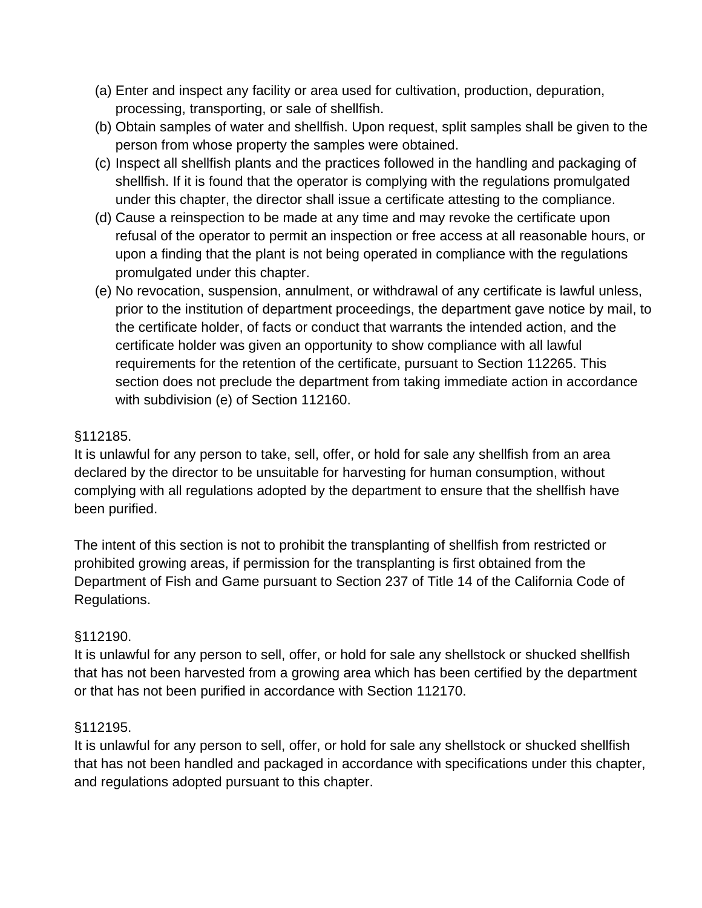- (a) Enter and inspect any facility or area used for cultivation, production, depuration, processing, transporting, or sale of shellfish.
- (b) Obtain samples of water and shellfish. Upon request, split samples shall be given to the person from whose property the samples were obtained.
- (c) Inspect all shellfish plants and the practices followed in the handling and packaging of shellfish. If it is found that the operator is complying with the regulations promulgated under this chapter, the director shall issue a certificate attesting to the compliance.
- (d) Cause a reinspection to be made at any time and may revoke the certificate upon refusal of the operator to permit an inspection or free access at all reasonable hours, or upon a finding that the plant is not being operated in compliance with the regulations promulgated under this chapter.
- (e) No revocation, suspension, annulment, or withdrawal of any certificate is lawful unless, prior to the institution of department proceedings, the department gave notice by mail, to the certificate holder, of facts or conduct that warrants the intended action, and the certificate holder was given an opportunity to show compliance with all lawful requirements for the retention of the certificate, pursuant to Section 112265. This section does not preclude the department from taking immediate action in accordance with subdivision (e) of Section 112160.

# §112185.

It is unlawful for any person to take, sell, offer, or hold for sale any shellfish from an area declared by the director to be unsuitable for harvesting for human consumption, without complying with all regulations adopted by the department to ensure that the shellfish have been purified.

The intent of this section is not to prohibit the transplanting of shellfish from restricted or prohibited growing areas, if permission for the transplanting is first obtained from the Department of Fish and Game pursuant to Section 237 of Title 14 of the California Code of Regulations.

# §112190.

It is unlawful for any person to sell, offer, or hold for sale any shellstock or shucked shellfish that has not been harvested from a growing area which has been certified by the department or that has not been purified in accordance with Section 112170.

# §112195.

It is unlawful for any person to sell, offer, or hold for sale any shellstock or shucked shellfish that has not been handled and packaged in accordance with specifications under this chapter, and regulations adopted pursuant to this chapter.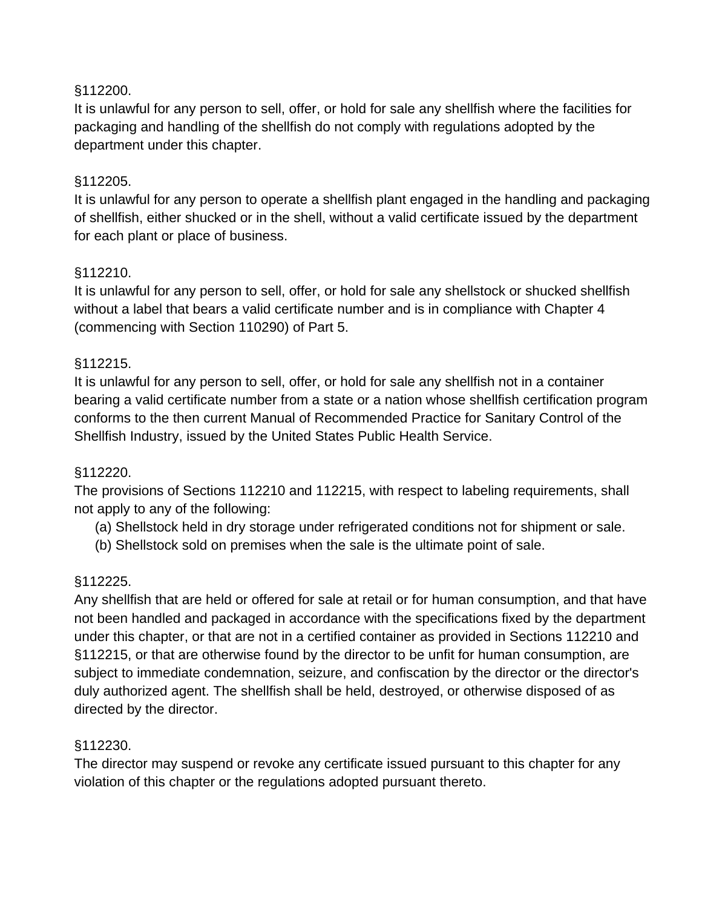#### §112200.

It is unlawful for any person to sell, offer, or hold for sale any shellfish where the facilities for packaging and handling of the shellfish do not comply with regulations adopted by the department under this chapter.

#### §112205.

It is unlawful for any person to operate a shellfish plant engaged in the handling and packaging of shellfish, either shucked or in the shell, without a valid certificate issued by the department for each plant or place of business.

#### §112210.

It is unlawful for any person to sell, offer, or hold for sale any shellstock or shucked shellfish without a label that bears a valid certificate number and is in compliance with Chapter 4 (commencing with Section 110290) of Part 5.

#### §112215.

It is unlawful for any person to sell, offer, or hold for sale any shellfish not in a container bearing a valid certificate number from a state or a nation whose shellfish certification program conforms to the then current Manual of Recommended Practice for Sanitary Control of the Shellfish Industry, issued by the United States Public Health Service.

#### §112220.

The provisions of Sections 112210 and 112215, with respect to labeling requirements, shall not apply to any of the following:

- (a) Shellstock held in dry storage under refrigerated conditions not for shipment or sale.
- (b) Shellstock sold on premises when the sale is the ultimate point of sale.

#### §112225.

Any shellfish that are held or offered for sale at retail or for human consumption, and that have not been handled and packaged in accordance with the specifications fixed by the department under this chapter, or that are not in a certified container as provided in Sections 112210 and §112215, or that are otherwise found by the director to be unfit for human consumption, are subject to immediate condemnation, seizure, and confiscation by the director or the director's duly authorized agent. The shellfish shall be held, destroyed, or otherwise disposed of as directed by the director.

#### §112230.

The director may suspend or revoke any certificate issued pursuant to this chapter for any violation of this chapter or the regulations adopted pursuant thereto.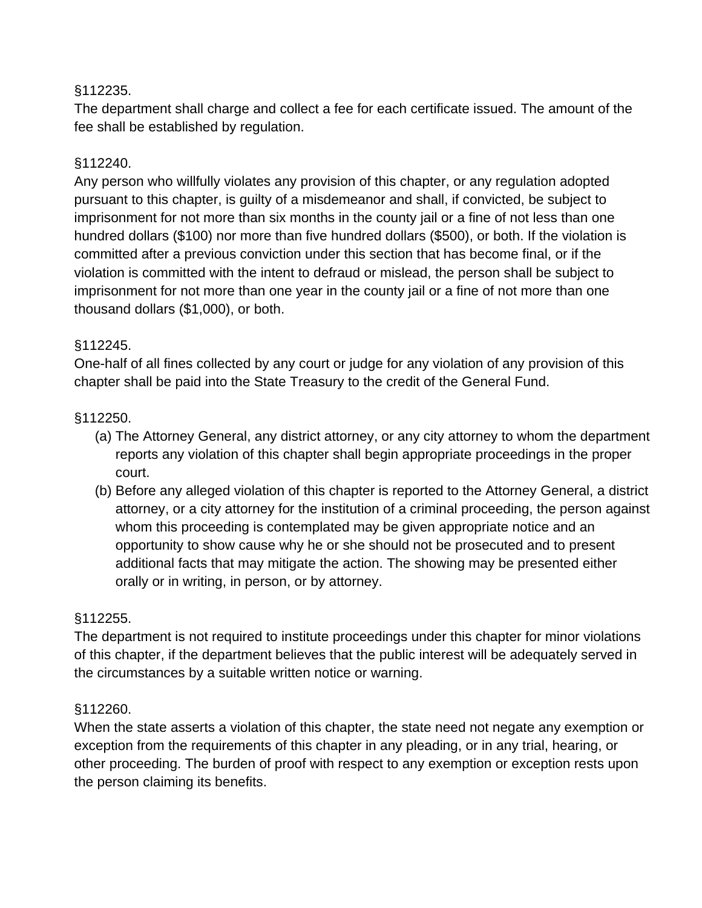#### §112235.

The department shall charge and collect a fee for each certificate issued. The amount of the fee shall be established by regulation.

#### §112240.

Any person who willfully violates any provision of this chapter, or any regulation adopted pursuant to this chapter, is guilty of a misdemeanor and shall, if convicted, be subject to imprisonment for not more than six months in the county jail or a fine of not less than one hundred dollars (\$100) nor more than five hundred dollars (\$500), or both. If the violation is committed after a previous conviction under this section that has become final, or if the violation is committed with the intent to defraud or mislead, the person shall be subject to imprisonment for not more than one year in the county jail or a fine of not more than one thousand dollars (\$1,000), or both.

## §112245.

One-half of all fines collected by any court or judge for any violation of any provision of this chapter shall be paid into the State Treasury to the credit of the General Fund.

## §112250.

- (a) The Attorney General, any district attorney, or any city attorney to whom the department reports any violation of this chapter shall begin appropriate proceedings in the proper court.
- (b) Before any alleged violation of this chapter is reported to the Attorney General, a district attorney, or a city attorney for the institution of a criminal proceeding, the person against whom this proceeding is contemplated may be given appropriate notice and an opportunity to show cause why he or she should not be prosecuted and to present additional facts that may mitigate the action. The showing may be presented either orally or in writing, in person, or by attorney.

#### §112255.

The department is not required to institute proceedings under this chapter for minor violations of this chapter, if the department believes that the public interest will be adequately served in the circumstances by a suitable written notice or warning.

#### §112260.

When the state asserts a violation of this chapter, the state need not negate any exemption or exception from the requirements of this chapter in any pleading, or in any trial, hearing, or other proceeding. The burden of proof with respect to any exemption or exception rests upon the person claiming its benefits.